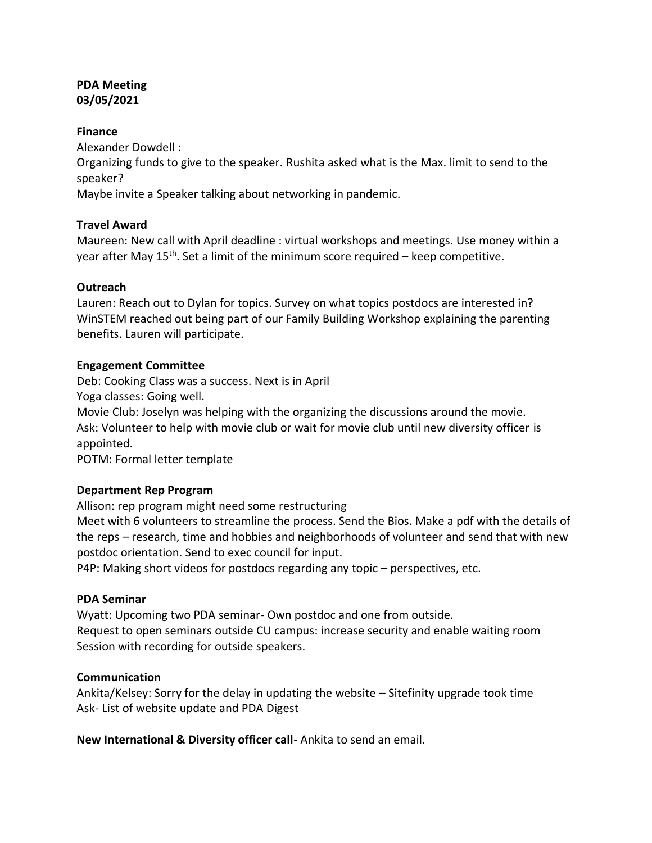# **PDA Meeting 03/05/2021**

#### **Finance**

Alexander Dowdell :

Organizing funds to give to the speaker. Rushita asked what is the Max. limit to send to the speaker?

Maybe invite a Speaker talking about networking in pandemic.

# **Travel Award**

Maureen: New call with April deadline : virtual workshops and meetings. Use money within a year after May  $15<sup>th</sup>$ . Set a limit of the minimum score required – keep competitive.

# **Outreach**

Lauren: Reach out to Dylan for topics. Survey on what topics postdocs are interested in? WinSTEM reached out being part of our Family Building Workshop explaining the parenting benefits. Lauren will participate.

#### **Engagement Committee**

Deb: Cooking Class was a success. Next is in April

Yoga classes: Going well.

Movie Club: Joselyn was helping with the organizing the discussions around the movie. Ask: Volunteer to help with movie club or wait for movie club until new diversity officer is appointed.

POTM: Formal letter template

#### **Department Rep Program**

Allison: rep program might need some restructuring

Meet with 6 volunteers to streamline the process. Send the Bios. Make a pdf with the details of the reps – research, time and hobbies and neighborhoods of volunteer and send that with new postdoc orientation. Send to exec council for input.

P4P: Making short videos for postdocs regarding any topic – perspectives, etc.

#### **PDA Seminar**

Wyatt: Upcoming two PDA seminar- Own postdoc and one from outside. Request to open seminars outside CU campus: increase security and enable waiting room Session with recording for outside speakers.

#### **Communication**

Ankita/Kelsey: Sorry for the delay in updating the website – Sitefinity upgrade took time Ask- List of website update and PDA Digest

**New International & Diversity officer call-** Ankita to send an email.